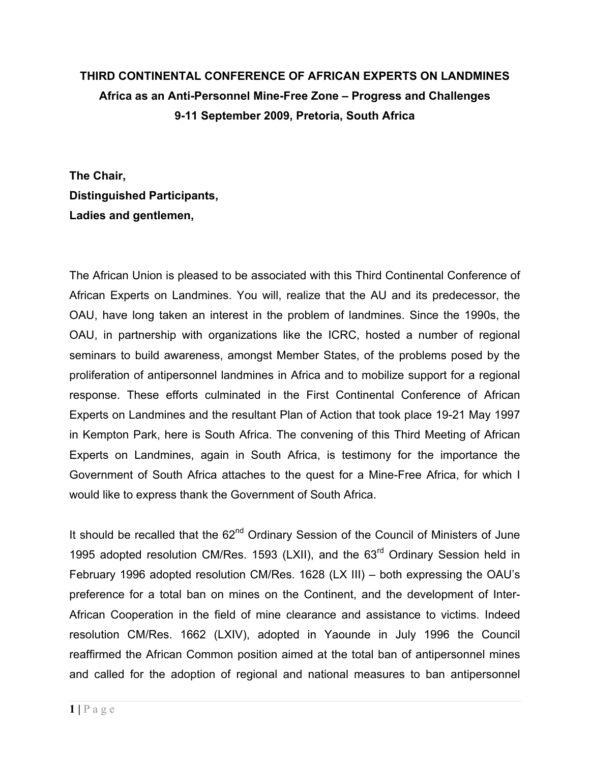## **THIRD CONTINENTAL CONFERENCE OF AFRICAN EXPERTS ON LANDMINES Africa as an Anti-Personnel Mine-Free Zone – Progress and Challenges 9-11 September 2009, Pretoria, South Africa**

**The Chair, Distinguished Participants, Ladies and gentlemen,**

The African Union is pleased to be associated with this Third Continental Conference of African Experts on Landmines. You will, realize that the AU and its predecessor, the OAU, have long taken an interest in the problem of landmines. Since the 1990s, the OAU, in partnership with organizations like the ICRC, hosted a number of regional seminars to build awareness, amongst Member States, of the problems posed by the proliferation of antipersonnel landmines in Africa and to mobilize support for a regional response. These efforts culminated in the First Continental Conference of African Experts on Landmines and the resultant Plan of Action that took place 19-21 May 1997 in Kempton Park, here is South Africa. The convening of this Third Meeting of African Experts on Landmines, again in South Africa, is testimony for the importance the Government of South Africa attaches to the quest for a Mine-Free Africa, for which I would like to express thank the Government of South Africa.

It should be recalled that the 62<sup>nd</sup> Ordinary Session of the Council of Ministers of June 1995 adopted resolution CM/Res. 1593 (LXII), and the 63<sup>rd</sup> Ordinary Session held in February 1996 adopted resolution CM/Res. 1628 (LX III) – both expressing the OAU's preference for a total ban on mines on the Continent, and the development of Inter-African Cooperation in the field of mine clearance and assistance to victims. Indeed resolution CM/Res. 1662 (LXIV), adopted in Yaounde in July 1996 the Council reaffirmed the African Common position aimed at the total ban of antipersonnel mines and called for the adoption of regional and national measures to ban antipersonnel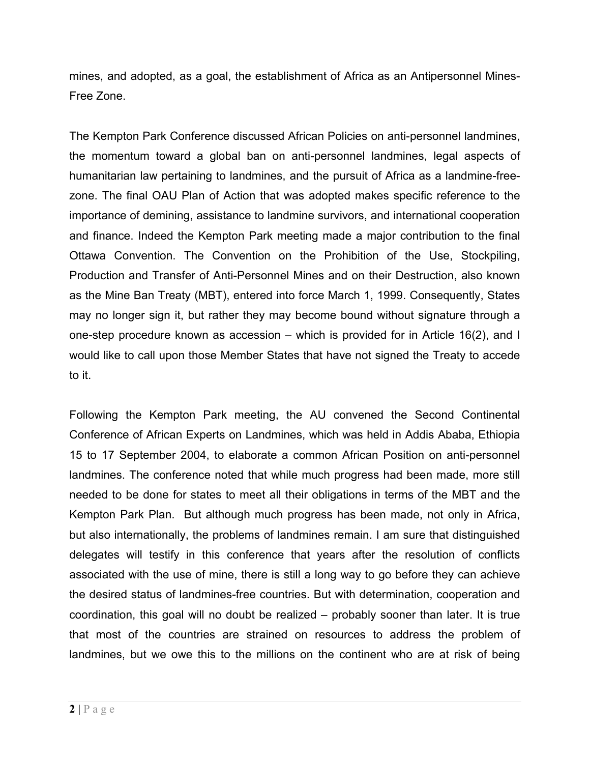mines, and adopted, as a goal, the establishment of Africa as an Antipersonnel Mines-Free Zone.

The Kempton Park Conference discussed African Policies on anti-personnel landmines, the momentum toward a global ban on anti-personnel landmines, legal aspects of humanitarian law pertaining to landmines, and the pursuit of Africa as a landmine-freezone. The final OAU Plan of Action that was adopted makes specific reference to the importance of demining, assistance to landmine survivors, and international cooperation and finance. Indeed the Kempton Park meeting made a major contribution to the final Ottawa Convention. The Convention on the Prohibition of the Use, Stockpiling, Production and Transfer of Anti-Personnel Mines and on their Destruction, also known as the Mine Ban Treaty (MBT), entered into force March 1, 1999. Consequently, States may no longer sign it, but rather they may become bound without signature through a one-step procedure known as accession – which is provided for in Article 16(2), and I would like to call upon those Member States that have not signed the Treaty to accede to it.

Following the Kempton Park meeting, the AU convened the Second Continental Conference of African Experts on Landmines, which was held in Addis Ababa, Ethiopia 15 to 17 September 2004, to elaborate a common African Position on anti-personnel landmines. The conference noted that while much progress had been made, more still needed to be done for states to meet all their obligations in terms of the MBT and the Kempton Park Plan. But although much progress has been made, not only in Africa, but also internationally, the problems of landmines remain. I am sure that distinguished delegates will testify in this conference that years after the resolution of conflicts associated with the use of mine, there is still a long way to go before they can achieve the desired status of landmines-free countries. But with determination, cooperation and coordination, this goal will no doubt be realized – probably sooner than later. It is true that most of the countries are strained on resources to address the problem of landmines, but we owe this to the millions on the continent who are at risk of being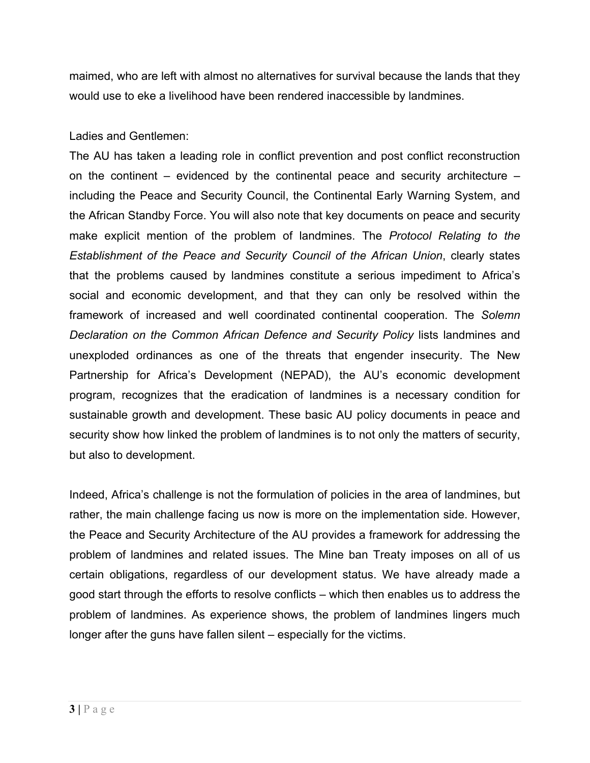maimed, who are left with almost no alternatives for survival because the lands that they would use to eke a livelihood have been rendered inaccessible by landmines.

Ladies and Gentlemen:

The AU has taken a leading role in conflict prevention and post conflict reconstruction on the continent – evidenced by the continental peace and security architecture – including the Peace and Security Council, the Continental Early Warning System, and the African Standby Force. You will also note that key documents on peace and security make explicit mention of the problem of landmines. The *Protocol Relating to the Establishment of the Peace and Security Council of the African Union*, clearly states that the problems caused by landmines constitute a serious impediment to Africa's social and economic development, and that they can only be resolved within the framework of increased and well coordinated continental cooperation. The *Solemn Declaration on the Common African Defence and Security Policy* lists landmines and unexploded ordinances as one of the threats that engender insecurity. The New Partnership for Africa's Development (NEPAD), the AU's economic development program, recognizes that the eradication of landmines is a necessary condition for sustainable growth and development. These basic AU policy documents in peace and security show how linked the problem of landmines is to not only the matters of security, but also to development.

Indeed, Africa's challenge is not the formulation of policies in the area of landmines, but rather, the main challenge facing us now is more on the implementation side. However, the Peace and Security Architecture of the AU provides a framework for addressing the problem of landmines and related issues. The Mine ban Treaty imposes on all of us certain obligations, regardless of our development status. We have already made a good start through the efforts to resolve conflicts – which then enables us to address the problem of landmines. As experience shows, the problem of landmines lingers much longer after the guns have fallen silent – especially for the victims.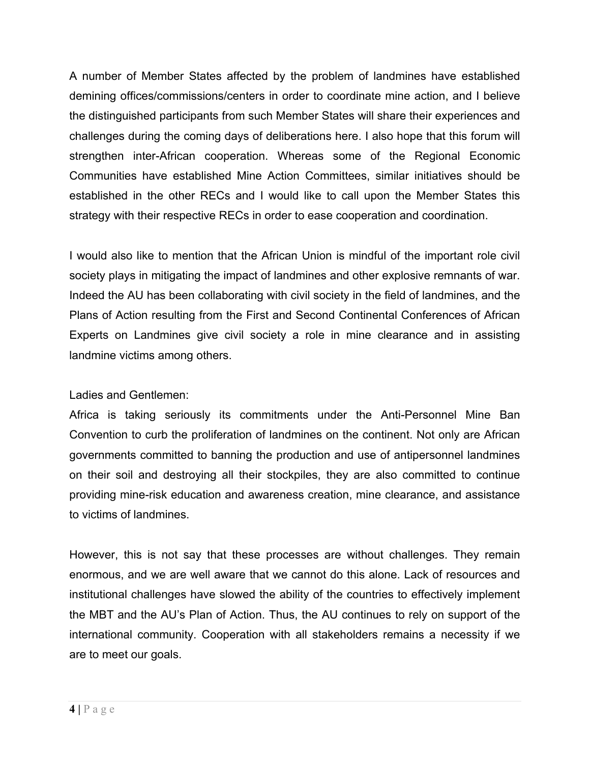A number of Member States affected by the problem of landmines have established demining offices/commissions/centers in order to coordinate mine action, and I believe the distinguished participants from such Member States will share their experiences and challenges during the coming days of deliberations here. I also hope that this forum will strengthen inter-African cooperation. Whereas some of the Regional Economic Communities have established Mine Action Committees, similar initiatives should be established in the other RECs and I would like to call upon the Member States this strategy with their respective RECs in order to ease cooperation and coordination.

I would also like to mention that the African Union is mindful of the important role civil society plays in mitigating the impact of landmines and other explosive remnants of war. Indeed the AU has been collaborating with civil society in the field of landmines, and the Plans of Action resulting from the First and Second Continental Conferences of African Experts on Landmines give civil society a role in mine clearance and in assisting landmine victims among others.

## Ladies and Gentlemen:

Africa is taking seriously its commitments under the Anti-Personnel Mine Ban Convention to curb the proliferation of landmines on the continent. Not only are African governments committed to banning the production and use of antipersonnel landmines on their soil and destroying all their stockpiles, they are also committed to continue providing mine-risk education and awareness creation, mine clearance, and assistance to victims of landmines.

However, this is not say that these processes are without challenges. They remain enormous, and we are well aware that we cannot do this alone. Lack of resources and institutional challenges have slowed the ability of the countries to effectively implement the MBT and the AU's Plan of Action. Thus, the AU continues to rely on support of the international community. Cooperation with all stakeholders remains a necessity if we are to meet our goals.